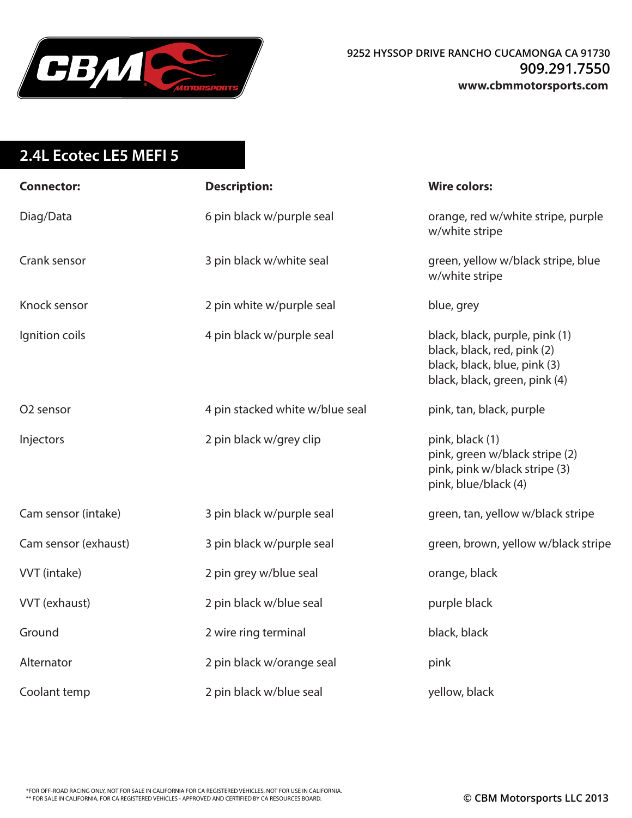

## **2.4L Ecotec LE5 MEFI 5**

| <b>Connector:</b>    | <b>Description:</b>             | <b>Wire colors:</b>                                                                                                            |
|----------------------|---------------------------------|--------------------------------------------------------------------------------------------------------------------------------|
| Diag/Data            | 6 pin black w/purple seal       | orange, red w/white stripe, purple<br>w/white stripe                                                                           |
| Crank sensor         | 3 pin black w/white seal        | green, yellow w/black stripe, blue<br>w/white stripe                                                                           |
| Knock sensor         | 2 pin white w/purple seal       | blue, grey                                                                                                                     |
| Ignition coils       | 4 pin black w/purple seal       | black, black, purple, pink (1)<br>black, black, red, pink (2)<br>black, black, blue, pink (3)<br>black, black, green, pink (4) |
| O2 sensor            | 4 pin stacked white w/blue seal | pink, tan, black, purple                                                                                                       |
| Injectors            | 2 pin black w/grey clip         | pink, black (1)<br>pink, green w/black stripe (2)<br>pink, pink w/black stripe (3)<br>pink, blue/black (4)                     |
| Cam sensor (intake)  | 3 pin black w/purple seal       | green, tan, yellow w/black stripe                                                                                              |
| Cam sensor (exhaust) | 3 pin black w/purple seal       | green, brown, yellow w/black stripe                                                                                            |
| VVT (intake)         | 2 pin grey w/blue seal          | orange, black                                                                                                                  |
| VVT (exhaust)        | 2 pin black w/blue seal         | purple black                                                                                                                   |
| Ground               | 2 wire ring terminal            | black, black                                                                                                                   |
| Alternator           | 2 pin black w/orange seal       | pink                                                                                                                           |
| Coolant temp         | 2 pin black w/blue seal         | yellow, black                                                                                                                  |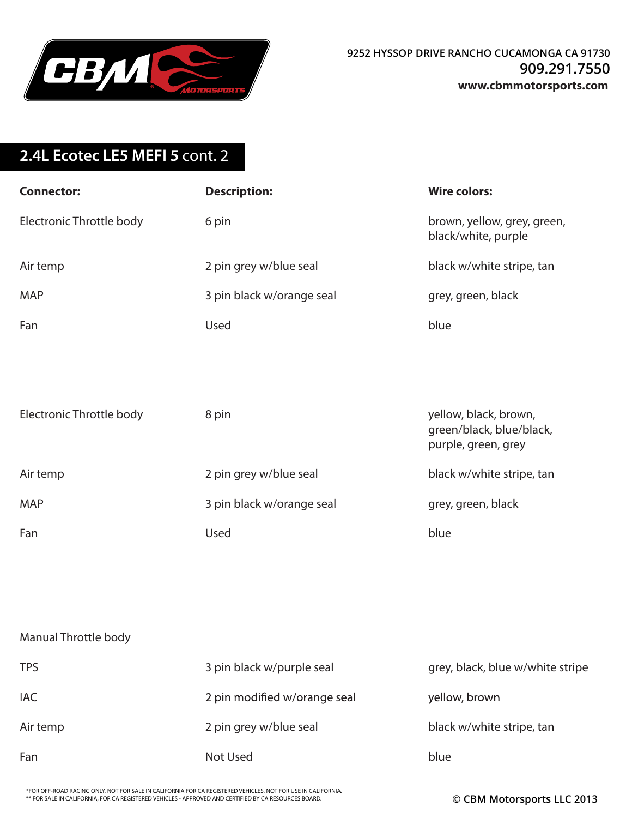

## **2.4L Ecotec LE5 MEFI 5** cont. 2

| <b>Connector:</b>        | <b>Description:</b>       | <b>Wire colors:</b>                                |
|--------------------------|---------------------------|----------------------------------------------------|
| Electronic Throttle body | 6 pin                     | brown, yellow, grey, green,<br>black/white, purple |
| Air temp                 | 2 pin grey w/blue seal    | black w/white stripe, tan                          |
| <b>MAP</b>               | 3 pin black w/orange seal | grey, green, black                                 |
| Fan                      | Used                      | blue                                               |
| Electronic Throttle body | 8 pin                     | yellow, black, brown,<br>green/black, blue/black,  |
|                          |                           | purple, green, grey                                |
| Air temp                 | 2 pin grey w/blue seal    | black w/white stripe, tan                          |
| <b>MAP</b>               | 3 pin black w/orange seal | grey, green, black                                 |
| Fan                      | Used                      | blue                                               |
|                          |                           |                                                    |
|                          |                           |                                                    |

## Manual Throttle body

| <b>TPS</b> | 3 pin black w/purple seal    | grey, black, blue w/white stripe |
|------------|------------------------------|----------------------------------|
| <b>IAC</b> | 2 pin modified w/orange seal | yellow, brown                    |
| Air temp   | 2 pin grey w/blue seal       | black w/white stripe, tan        |
| Fan        | Not Used                     | blue                             |

\*FOR OFF-ROAD RACING ONLY, NOT FOR SALE IN CALIFORNIA FOR CA REGISTERED VEHICLES, NOT FOR USE IN CALIFORNIA. \*\* FOR SALE IN CALIFORNIA, FOR CA REGISTERED VEHICLES - APPROVED AND CERTIFIED BY CA RESOURCES BOARD. **© CBM Motorsports LLC 2013**